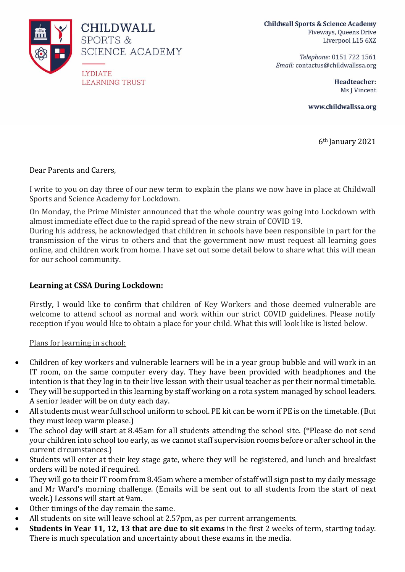

**Childwall Sports & Science Academy** Fiveways, Queens Drive Liverpool L15 6XZ

> Telephone: 0151 722 1561 Email: contactus@childwallssa.org

> > **Headteacher:** Ms J Vincent

www.childwallssa.org

6th January 2021

Dear Parents and Carers,

I write to you on day three of our new term to explain the plans we now have in place at Childwall Sports and Science Academy for Lockdown.

On Monday, the Prime Minister announced that the whole country was going into Lockdown with almost immediate effect due to the rapid spread of the new strain of COVID 19.

During his address, he acknowledged that children in schools have been responsible in part for the transmission of the virus to others and that the government now must request all learning goes online, and children work from home. I have set out some detail below to share what this will mean for our school community.

## **Learning at CSSA During Lockdown:**

Firstly, I would like to confirm that children of Key Workers and those deemed vulnerable are welcome to attend school as normal and work within our strict COVID guidelines. Please notify reception if you would like to obtain a place for your child. What this will look like is listed below.

Plans for learning in school:

- Children of key workers and vulnerable learners will be in a year group bubble and will work in an IT room, on the same computer every day. They have been provided with headphones and the intention is that they log in to their live lesson with their usual teacher as per their normal timetable.
- They will be supported in this learning by staff working on a rota system managed by school leaders. A senior leader will be on duty each day.
- All students must wear full school uniform to school. PE kit can be worn if PE is on the timetable.(But they must keep warm please.)
- The school day will start at 8.45am for all students attending the school site. (\*Please do not send your children into school too early, as we cannot staff supervision rooms before or after school in the current circumstances.)
- Students will enter at their key stage gate, where they will be registered, and lunch and breakfast orders will be noted if required.
- They will go to their IT room from 8.45am where a member of staff will sign post to my daily message and Mr Ward's morning challenge. (Emails will be sent out to all students from the start of next week.) Lessons will start at 9am.
- Other timings of the day remain the same.
- All students on site will leave school at 2.57pm, as per current arrangements.
- **Students in Year 11, 12, 13 that are due to sit exams** in the first 2 weeks of term, starting today. There is much speculation and uncertainty about these exams in the media.